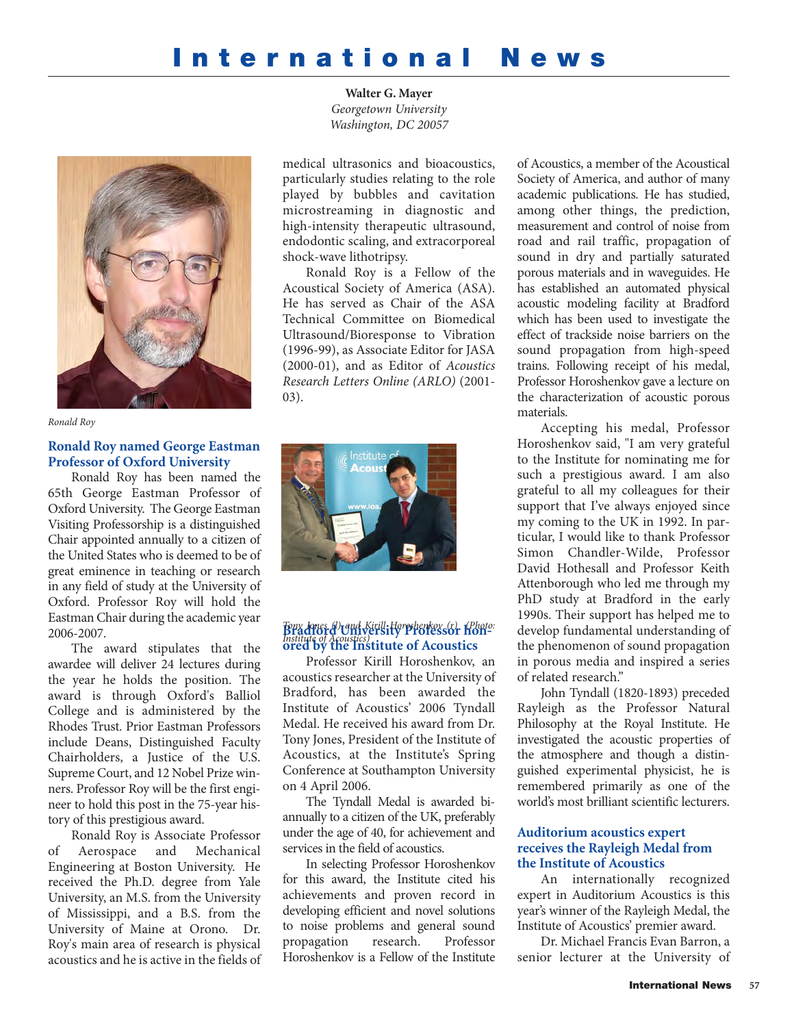# **International News**

**Walter G. Mayer** *Georgetown University Washington, DC 20057*



*Ronald Roy*

## **Ronald Roy named George Eastman Professor of Oxford University**

Ronald Roy has been named the 65th George Eastman Professor of Oxford University. The George Eastman Visiting Professorship is a distinguished Chair appointed annually to a citizen of the United States who is deemed to be of great eminence in teaching or research in any field of study at the University of Oxford. Professor Roy will hold the Eastman Chair during the academic year 2006-2007.

The award stipulates that the awardee will deliver 24 lectures during the year he holds the position. The award is through Oxford's Balliol College and is administered by the Rhodes Trust. Prior Eastman Professors include Deans, Distinguished Faculty Chairholders, a Justice of the U.S. Supreme Court, and 12 Nobel Prize winners. Professor Roy will be the first engineer to hold this post in the 75-year history of this prestigious award.

Ronald Roy is Associate Professor of Aerospace and Mechanical Engineering at Boston University. He received the Ph.D. degree from Yale University, an M.S. from the University of Mississippi, and a B.S. from the University of Maine at Orono. Dr. Roy's main area of research is physical acoustics and he is active in the fields of

medical ultrasonics and bioacoustics, particularly studies relating to the role played by bubbles and cavitation microstreaming in diagnostic and high-intensity therapeutic ultrasound, endodontic scaling, and extracorporeal shock-wave lithotripsy.

Ronald Roy is a Fellow of the Acoustical Society of America (ASA). He has served as Chair of the ASA Technical Committee on Biomedical Ultrasound/Bioresponse to Vibration (1996-99), as Associate Editor for JASA (2000-01), and as Editor of *Acoustics Research Letters Online (ARLO)* (2001- 03).



# **Bradford University Professor hon-***Tony Jones (l) and Kirill Horoshenkov (r) (Photo:* **ored by the Institute of Acoustics**  *Institute of Acoustics)*

Professor Kirill Horoshenkov, an acoustics researcher at the University of Bradford, has been awarded the Institute of Acoustics' 2006 Tyndall Medal. He received his award from Dr. Tony Jones, President of the Institute of Acoustics, at the Institute's Spring Conference at Southampton University on 4 April 2006.

The Tyndall Medal is awarded biannually to a citizen of the UK, preferably under the age of 40, for achievement and services in the field of acoustics.

In selecting Professor Horoshenkov for this award, the Institute cited his achievements and proven record in developing efficient and novel solutions to noise problems and general sound propagation research. Professor Horoshenkov is a Fellow of the Institute

of Acoustics, a member of the Acoustical Society of America, and author of many academic publications. He has studied, among other things, the prediction, measurement and control of noise from road and rail traffic, propagation of sound in dry and partially saturated porous materials and in waveguides. He has established an automated physical acoustic modeling facility at Bradford which has been used to investigate the effect of trackside noise barriers on the sound propagation from high-speed trains. Following receipt of his medal, Professor Horoshenkov gave a lecture on the characterization of acoustic porous materials.

Accepting his medal, Professor Horoshenkov said, "I am very grateful to the Institute for nominating me for such a prestigious award. I am also grateful to all my colleagues for their support that I've always enjoyed since my coming to the UK in 1992. In particular, I would like to thank Professor Simon Chandler-Wilde, Professor David Hothesall and Professor Keith Attenborough who led me through my PhD study at Bradford in the early 1990s. Their support has helped me to develop fundamental understanding of the phenomenon of sound propagation in porous media and inspired a series of related research."

John Tyndall (1820-1893) preceded Rayleigh as the Professor Natural Philosophy at the Royal Institute. He investigated the acoustic properties of the atmosphere and though a distinguished experimental physicist, he is remembered primarily as one of the world's most brilliant scientific lecturers.

#### **Auditorium acoustics expert receives the Rayleigh Medal from the Institute of Acoustics**

An internationally recognized expert in Auditorium Acoustics is this year's winner of the Rayleigh Medal, the Institute of Acoustics' premier award.

Dr. Michael Francis Evan Barron, a senior lecturer at the University of